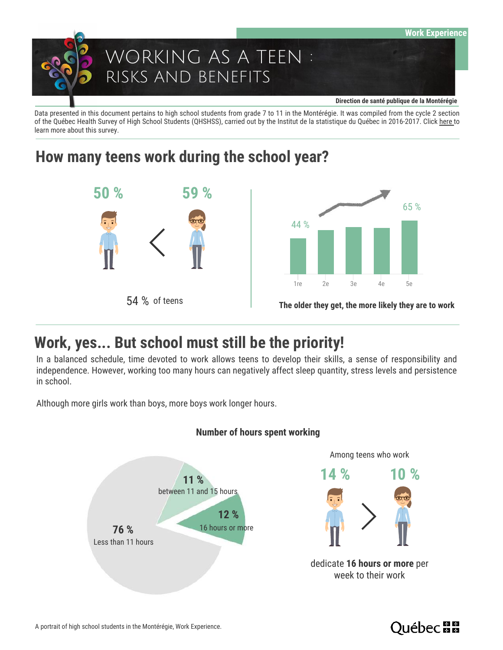

Data presented in this document pertains to high school students from grade 7 to 11 in the Montérégie. It was compiled from the cycle 2 section of the Québec Health Survey of High School Students (QHSHSS), carried out by the Institut de la statistique du Québec in 2016-2017. Click [here to](https://www.eqsjs.stat.gouv.qc.ca/) learn more about this survey.

## **How many teens work during the school year?**



54 % of teens



**The older they get, the more likely they are to work**

## **Work, yes... But school must still be the priority!**

In a balanced schedule, time devoted to work allows teens to develop their skills, a sense of responsibility and independence. However, working too many hours can negatively affect sleep quantity, stress levels and persistence in school.

Although more girls work than boys, more boys work longer hours.



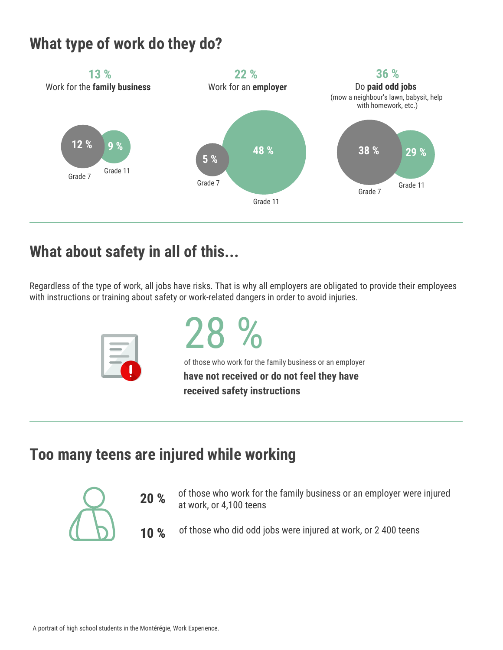## **What type of work do they do?**



## **What about safety in all of this...**

Regardless of the type of work, all jobs have risks. That is why all employers are obligated to provide their employees with instructions or training about safety or work-related dangers in order to avoid injuries.



28 % **have not received or do not feel they have received safety instructions** of those who work for the family business or an employer

## **Too many teens are injured while working**



- **20 %**  of those who work for the family business or an employer were injured at work, or 4,100 teens
- **10 %**  of those who did odd jobs were injured at work, or 2 400 teens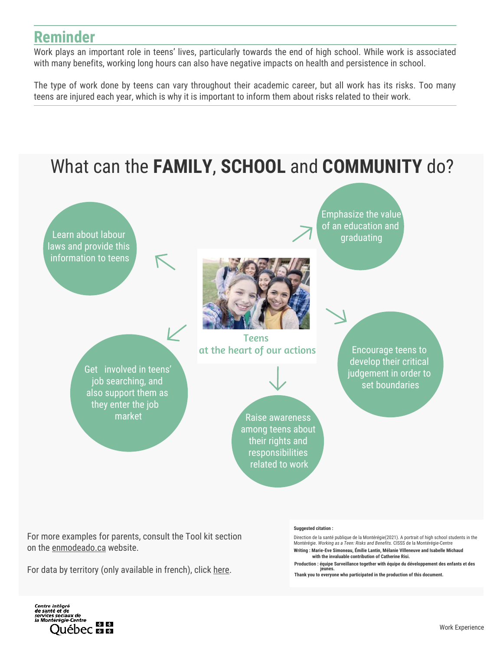## **Reminder**

Ī

Work plays an important role in teens' lives, particularly towards the end of high school. While work is associated with many benefits, working long hours can also have negative impacts on health and persistence in school.

The type of work done by teens can vary throughout their academic career, but all work has its risks. Too many teens are injured each year, which is why it is important to inform them about risks related to their work.



For more examples for parents, consult the Tool kit section on the [enmodeado.ca w](https://enmodeado.ca/)ebsite.

For data by territory (only available in french), click [here.](http://extranet.santemonteregie.qc.ca/sante-publique/promotion-prevention/jeunesse/eqsjs.fr.html)

#### **Suggested citation :**

Direction de la santé publique de la Montérégie(2021). A portrait of high school students in the Montérégie. *Working as a Teen: Risks and Benefits.* CISSS de la Montérégie-Centre **Writing : Marie-Eve Simoneau, Émilie Lantin, Mélanie Villeneuve and Isabelle Michaud with the invaluable contribution of Catherine Risi.**

**Production : équipe Surveillance together with équipe du développement des enfants et des**

**Thank you to everyone who participated in the production of this document.**